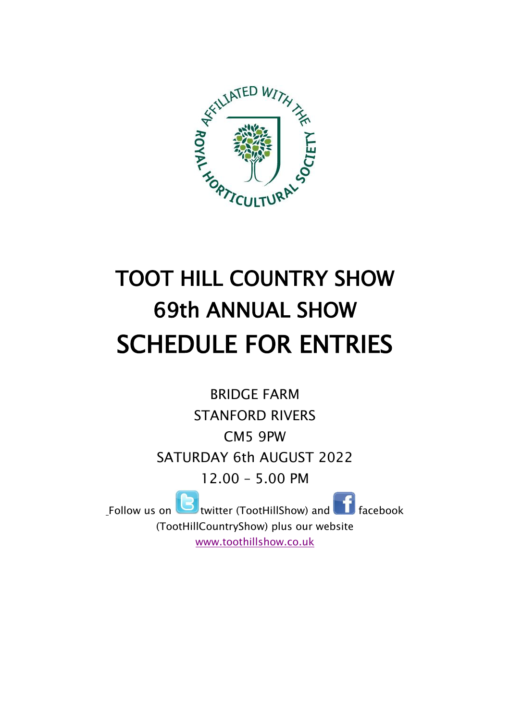

# TOOT HILL COUNTRY SHOW 69th ANNUAL SHOW SCHEDULE FOR ENTRIES

BRIDGE FARM STANFORD RIVERS CM5 9PW SATURDAY 6th AUGUST 2022 12.00 – 5.00 PM Follow us on **twitter (TootHillShow) and Facebook** 

(TootHillCountryShow) plus our website [www.toothillshow.co.uk](http://www.toothillshow.co.uk/)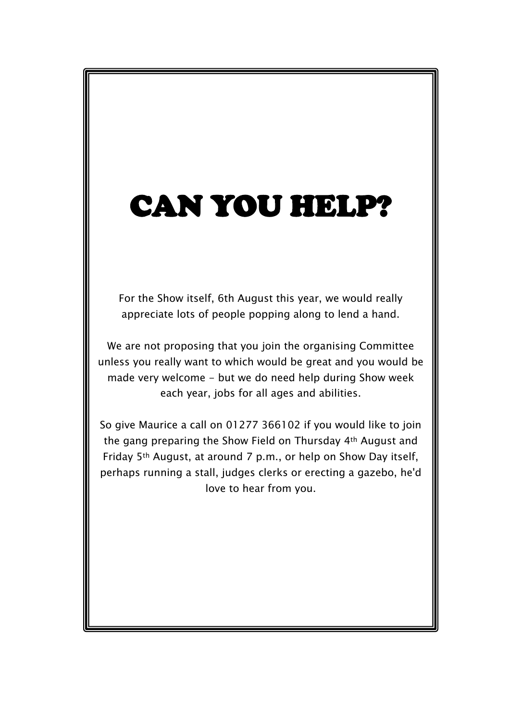# CAN YOU HELP?

For the Show itself, 6th August this year, we would really appreciate lots of people popping along to lend a hand.

We are not proposing that you join the organising Committee unless you really want to which would be great and you would be made very welcome - but we do need help during Show week each year, jobs for all ages and abilities.

So give Maurice a call on 01277 366102 if you would like to join the gang preparing the Show Field on Thursday 4th August and Friday 5th August, at around 7 p.m., or help on Show Day itself, perhaps running a stall, judges clerks or erecting a gazebo, he'd love to hear from you.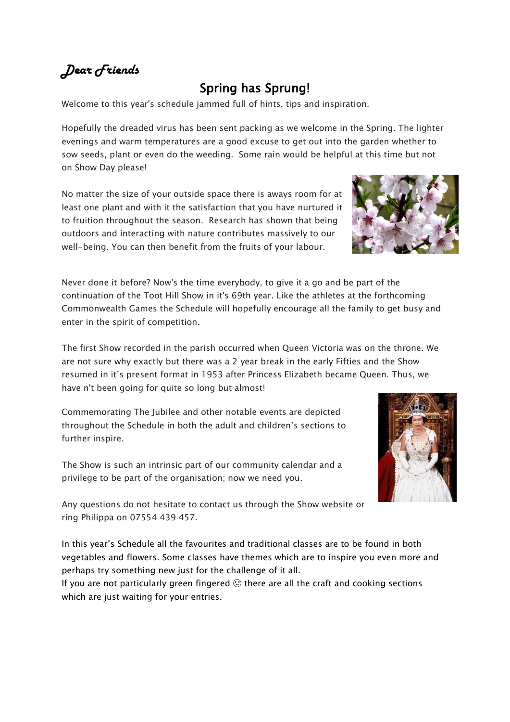# *Dear Friends*

# Spring has Sprung!

Welcome to this year's schedule jammed full of hints, tips and inspiration.

Hopefully the dreaded virus has been sent packing as we welcome in the Spring. The lighter evenings and warm temperatures are a good excuse to get out into the garden whether to sow seeds, plant or even do the weeding. Some rain would be helpful at this time but not on Show Day please!

No matter the size of your outside space there is aways room for at least one plant and with it the satisfaction that you have nurtured it to fruition throughout the season. Research has shown that being outdoors and interacting with nature contributes massively to our well-being. You can then benefit from the fruits of your labour.

Never done it before? Now's the time everybody, to give it a go and be [part of the](https://creativecommons.org/licenses/by-sa/3.0/) continuation of the Toot Hill Show in it's 69th year. Like the athletes at the forthcoming Commonwealth Games the Schedule will hopefully encourage all the family to get busy and enter in the spirit of competition.

The first Show recorded in the parish occurred when Queen Victoria was on the throne. We are not sure why exactly but there was a 2 year break in the early Fifties and the Show resumed in it's present format in 1953 after Princess Elizabeth became Queen. Thus, we have n't been going for quite so long but almost!

Commemorating The Jubilee and other notable events are depicted throughout the Schedule in both the adult and children's sections to further inspire.

The Show is such an intrinsic part of our community calendar and a privilege to be part of the organisation; now we need you.

Any questions do not hesitate to contact us through the Show website or ring Philippa on 07554 439 457.

In this year's Schedule all the favourites and traditional classes are to be fou[nd in both](https://creativecommons.org/licenses/by-nc-nd/3.0/)  vegetables and flowers. Some classes have themes which are to inspire you even more and perhaps try something new just for the challenge of it all.

If you are not particularly green fingered  $\odot$  there are all the craft and cooking sections which are just waiting for your entries.



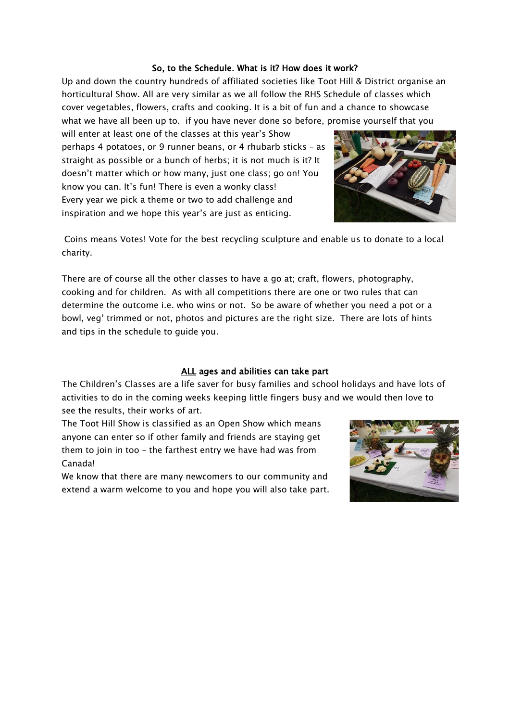#### So, to the Schedule. What is it? How does it work?

Up and down the country hundreds of affiliated societies like Toot Hill & District organise an horticultural Show. All are very similar as we all follow the RHS Schedule of classes which cover vegetables, flowers, crafts and cooking. It is a bit of fun and a chance to showcase what we have all been up to. if you have never done so before, promise yourself that you

will enter at least one of the classes at this year's Show perhaps 4 potatoes, or 9 runner beans, or 4 rhubarb sticks – as straight as possible or a bunch of herbs; it is not much is it? It doesn't matter which or how many, just one class; go on! You know you can. It's fun! There is even a wonky class! Every year we pick a theme or two to add challenge and inspiration and we hope this year's are just as enticing.



Coins means Votes! Vote for the best recycling sculpture and enable us to donate to a local charity.

There are of course all the other classes to have a go at; craft, flowers, photography, cooking and for children. As with all competitions there are one or two rules that can determine the outcome i.e. who wins or not. So be aware of whether you need a pot or a bowl, veg' trimmed or not, photos and pictures are the right size. There are lots of hints and tips in the schedule to guide you.

#### ALL ages and abilities can take part

The Children's Classes are a life saver for busy families and school holidays and have lots of activities to do in the coming weeks keeping little fingers busy and we would then love to see the results, their works of art.

The Toot Hill Show is classified as an Open Show which means anyone can enter so if other family and friends are staying get them to join in too – the farthest entry we have had was from Canada!

We know that there are many newcomers to our community and extend a warm welcome to you and hope you will also take part.

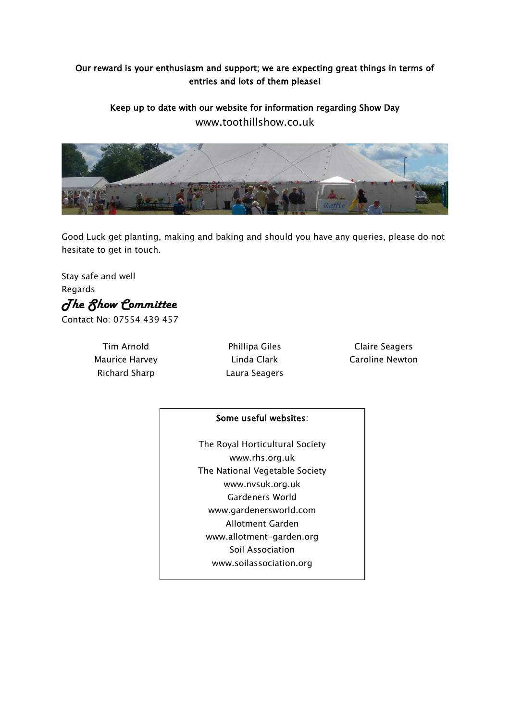## Our reward is your enthusiasm and support; we are expecting great things in terms of entries and lots of them please!

Keep up to date with our website for information regarding Show Day www.toothillshow.co.uk



Good Luck get planting, making and baking and should you have any queries, please do not hesitate to get in touch.

Stay safe and well Regards *The Show Committee* 

Contact No: 07554 439 457

Tim Arnold Maurice Harvey Richard Sharp

Phillipa Giles Linda Clark Laura Seagers

Claire Seagers Caroline Newton

#### Some useful websites:

The Royal Horticultural Society www.rhs.org.uk The National Vegetable Society www.nvsuk.org.uk Gardeners World www.gardenersworld.com Allotment Garden www.allotment-garden.org Soil Association www.soilassociation.org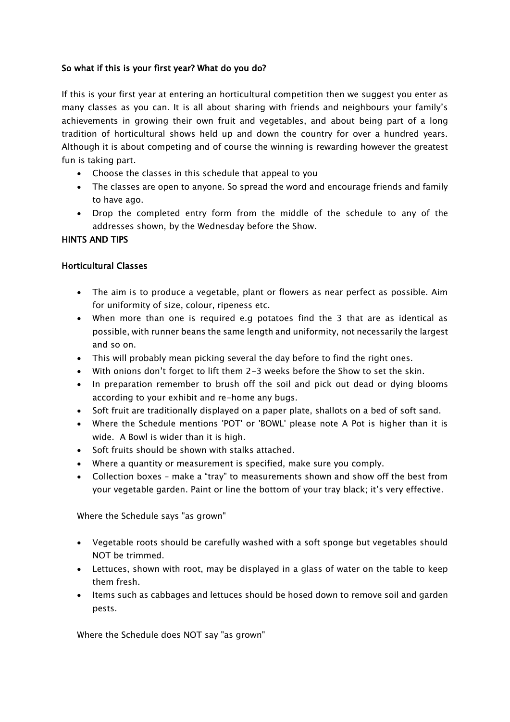#### So what if this is your first year? What do you do?

If this is your first year at entering an horticultural competition then we suggest you enter as many classes as you can. It is all about sharing with friends and neighbours your family's achievements in growing their own fruit and vegetables, and about being part of a long tradition of horticultural shows held up and down the country for over a hundred years. Although it is about competing and of course the winning is rewarding however the greatest fun is taking part.

- Choose the classes in this schedule that appeal to you
- The classes are open to anyone. So spread the word and encourage friends and family to have ago.
- Drop the completed entry form from the middle of the schedule to any of the addresses shown, by the Wednesday before the Show.

#### HINTS AND TIPS

#### Horticultural Classes

- The aim is to produce a vegetable, plant or flowers as near perfect as possible. Aim for uniformity of size, colour, ripeness etc.
- When more than one is required e.g potatoes find the 3 that are as identical as possible, with runner beans the same length and uniformity, not necessarily the largest and so on.
- This will probably mean picking several the day before to find the right ones.
- With onions don't forget to lift them 2-3 weeks before the Show to set the skin.
- In preparation remember to brush off the soil and pick out dead or dying blooms according to your exhibit and re-home any bugs.
- Soft fruit are traditionally displayed on a paper plate, shallots on a bed of soft sand.
- Where the Schedule mentions 'POT' or 'BOWL' please note A Pot is higher than it is wide. A Bowl is wider than it is high.
- Soft fruits should be shown with stalks attached.
- Where a quantity or measurement is specified, make sure you comply.
- Collection boxes make a "tray" to measurements shown and show off the best from your vegetable garden. Paint or line the bottom of your tray black; it's very effective.

Where the Schedule says "as grown"

- Vegetable roots should be carefully washed with a soft sponge but vegetables should NOT be trimmed.
- Lettuces, shown with root, may be displayed in a glass of water on the table to keep them fresh.
- Items such as cabbages and lettuces should be hosed down to remove soil and garden pests.

Where the Schedule does NOT say "as grown"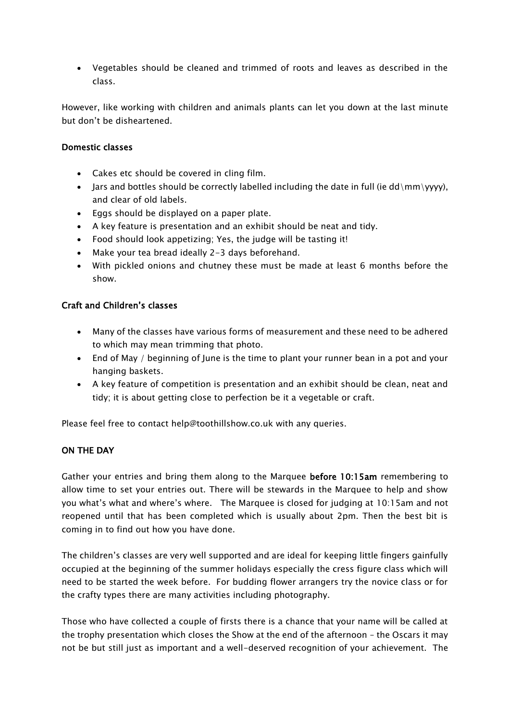• Vegetables should be cleaned and trimmed of roots and leaves as described in the class.

However, like working with children and animals plants can let you down at the last minute but don't be disheartened.

#### Domestic classes

- Cakes etc should be covered in cling film.
- Jars and bottles should be correctly labelled including the date in full (ie  $dd\,\{mm\}$ yyyy), and clear of old labels.
- Eggs should be displayed on a paper plate.
- A key feature is presentation and an exhibit should be neat and tidy.
- Food should look appetizing; Yes, the judge will be tasting it!
- Make your tea bread ideally 2-3 days beforehand.
- With pickled onions and chutney these must be made at least 6 months before the show.

#### Craft and Children's classes

- Many of the classes have various forms of measurement and these need to be adhered to which may mean trimming that photo.
- End of May / beginning of June is the time to plant your runner bean in a pot and your hanging baskets.
- A key feature of competition is presentation and an exhibit should be clean, neat and tidy; it is about getting close to perfection be it a vegetable or craft.

Please feel free to contact help@toothillshow.co.uk with any queries.

#### ON THE DAY

Gather your entries and bring them along to the Marquee before 10:15am remembering to allow time to set your entries out. There will be stewards in the Marquee to help and show you what's what and where's where. The Marquee is closed for judging at 10:15am and not reopened until that has been completed which is usually about 2pm. Then the best bit is coming in to find out how you have done.

The children's classes are very well supported and are ideal for keeping little fingers gainfully occupied at the beginning of the summer holidays especially the cress figure class which will need to be started the week before. For budding flower arrangers try the novice class or for the crafty types there are many activities including photography.

Those who have collected a couple of firsts there is a chance that your name will be called at the trophy presentation which closes the Show at the end of the afternoon – the Oscars it may not be but still just as important and a well-deserved recognition of your achievement. The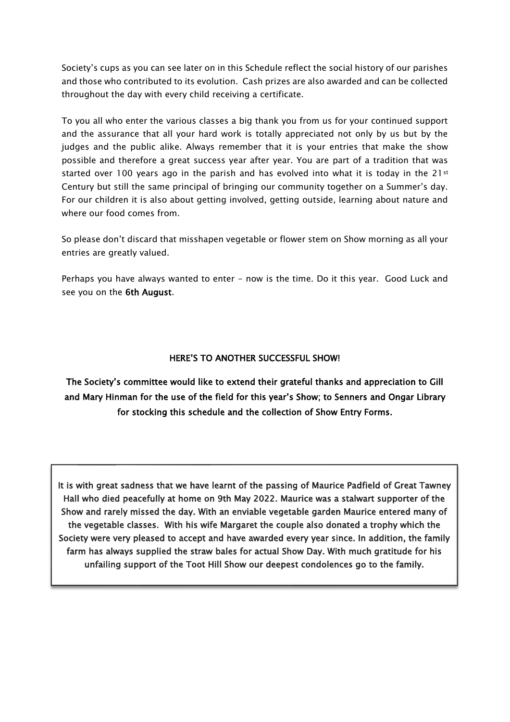Society's cups as you can see later on in this Schedule reflect the social history of our parishes and those who contributed to its evolution. Cash prizes are also awarded and can be collected throughout the day with every child receiving a certificate.

To you all who enter the various classes a big thank you from us for your continued support and the assurance that all your hard work is totally appreciated not only by us but by the judges and the public alike. Always remember that it is your entries that make the show possible and therefore a great success year after year. You are part of a tradition that was started over 100 years ago in the parish and has evolved into what it is today in the 21st Century but still the same principal of bringing our community together on a Summer's day. For our children it is also about getting involved, getting outside, learning about nature and where our food comes from.

So please don't discard that misshapen vegetable or flower stem on Show morning as all your entries are greatly valued.

Perhaps you have always wanted to enter - now is the time. Do it this year. Good Luck and see you on the 6th August.

#### HERE'S TO ANOTHER SUCCESSFUL SHOW!

The Society's committee would like to extend their grateful thanks and appreciation to Gill and Mary Hinman for the use of the field for this year's Show; to Senners and Ongar Library for stocking this schedule and the collection of Show Entry Forms.

 $\overline{a}$ 

 It is with great sadness that we have learnt of the passing of Maurice Padfield of Great Tawney Show and rarely missed the day. With an enviable vegetable garden Maurice entered many of Hall who died peacefully at home on 9th May 2022. Maurice was a stalwart supporter of the the vegetable classes. With his wife Margaret the couple also donated a trophy which the Society were very pleased to accept and have awarded every year since. In addition, the family farm has always supplied the straw bales for actual Show Day. With much gratitude for his unfailing support of the Toot Hill Show our deepest condolences go to the family.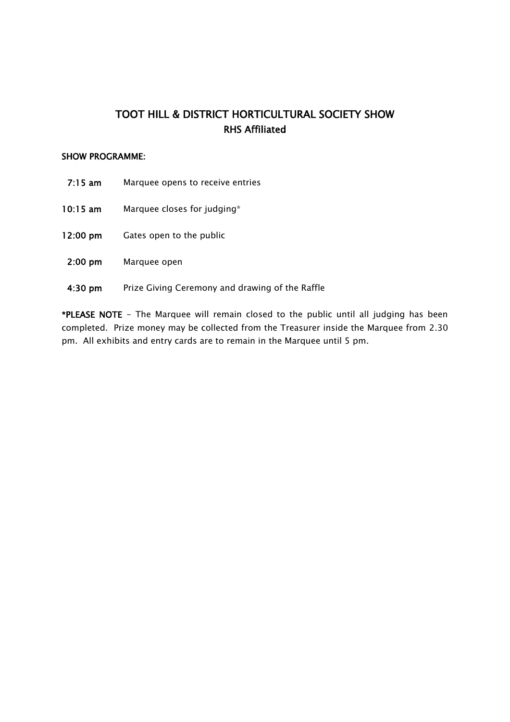# TOOT HILL & DISTRICT HORTICULTURAL SOCIETY SHOW RHS Affiliated

#### SHOW PROGRAMME:

- 7:15 am Marquee opens to receive entries
- 10:15 am Marquee closes for judging\*
- 12:00 pm Gates open to the public
- 2:00 pm Marquee open
- 4:30 pm Prize Giving Ceremony and drawing of the Raffle

\*PLEASE NOTE - The Marquee will remain closed to the public until all judging has been completed. Prize money may be collected from the Treasurer inside the Marquee from 2.30 pm. All exhibits and entry cards are to remain in the Marquee until 5 pm.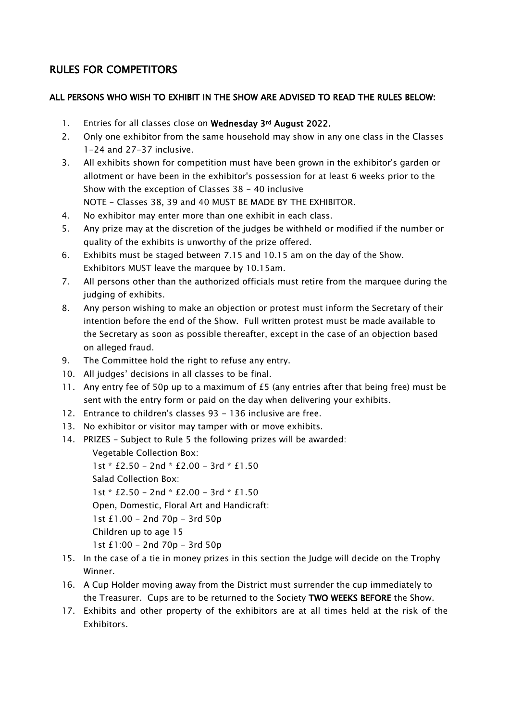# RULES FOR COMPETITORS

#### ALL PERSONS WHO WISH TO EXHIBIT IN THE SHOW ARE ADVISED TO READ THE RULES BELOW:

- 1. Entries for all classes close on Wednesday 3rd August 2022.
- 2. Only one exhibitor from the same household may show in any one class in the Classes 1-24 and 27-37 inclusive.
- 3. All exhibits shown for competition must have been grown in the exhibitor's garden or allotment or have been in the exhibitor's possession for at least 6 weeks prior to the Show with the exception of Classes 38 - 40 inclusive NOTE - Classes 38, 39 and 40 MUST BE MADE BY THE EXHIBITOR.
- 4. No exhibitor may enter more than one exhibit in each class.
- 5. Any prize may at the discretion of the judges be withheld or modified if the number or quality of the exhibits is unworthy of the prize offered.
- 6. Exhibits must be staged between 7.15 and 10.15 am on the day of the Show. Exhibitors MUST leave the marquee by 10.15am.
- 7. All persons other than the authorized officials must retire from the marquee during the judging of exhibits.
- 8. Any person wishing to make an objection or protest must inform the Secretary of their intention before the end of the Show. Full written protest must be made available to the Secretary as soon as possible thereafter, except in the case of an objection based on alleged fraud.
- 9. The Committee hold the right to refuse any entry.
- 10. All judges' decisions in all classes to be final.
- 11. Any entry fee of 50p up to a maximum of £5 (any entries after that being free) must be sent with the entry form or paid on the day when delivering your exhibits.
- 12. Entrance to children's classes 93 136 inclusive are free.
- 13. No exhibitor or visitor may tamper with or move exhibits.
- 14. PRIZES Subject to Rule 5 the following prizes will be awarded:

Vegetable Collection Box:

1st \* £2.50 - 2nd \* £2.00 - 3rd \* £1.50 Salad Collection Box: 1st \* £2.50 - 2nd \* £2.00 - 3rd \* £1.50 Open, Domestic, Floral Art and Handicraft: 1st £1.00 - 2nd 70p - 3rd 50p Children up to age 15 1st £1:00 - 2nd 70p - 3rd 50p

- 15. In the case of a tie in money prizes in this section the Judge will decide on the Trophy Winner.
- 16. A Cup Holder moving away from the District must surrender the cup immediately to the Treasurer. Cups are to be returned to the Society TWO WEEKS BEFORE the Show.
- 17. Exhibits and other property of the exhibitors are at all times held at the risk of the Exhibitors.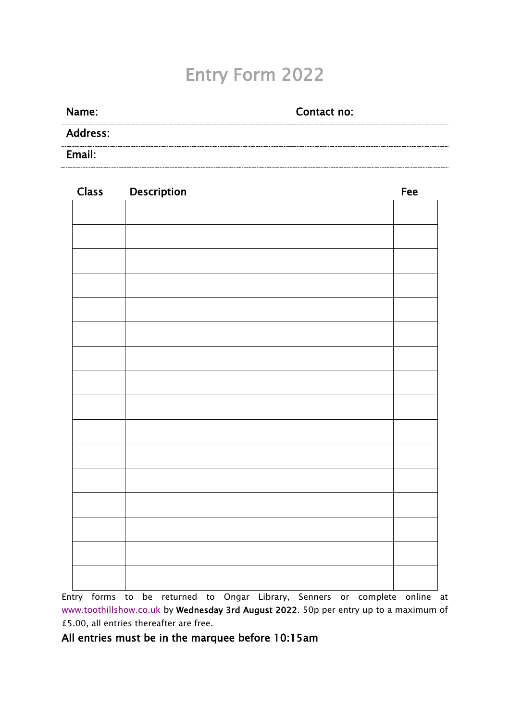# Entry Form 2022

| Name:           | Contact no: |
|-----------------|-------------|
| <b>Address:</b> |             |
| Email:          |             |

| <b>Class</b> | Description | Fee |
|--------------|-------------|-----|
|              |             |     |
|              |             |     |
|              |             |     |
|              |             |     |
|              |             |     |
|              |             |     |
|              |             |     |
|              |             |     |
|              |             |     |
|              |             |     |
|              |             |     |
|              |             |     |
|              |             |     |
|              |             |     |
|              |             |     |
|              |             |     |
|              |             |     |
|              |             |     |

Entry forms to be returned to Ongar Library, Senners or complete online at [www.toothillshow.co.uk](http://www.toothillshow.co.uk/) by Wednesday 3rd August 2022. 50p per entry up to a maximum of £5.00, all entries thereafter are free.

# All entries must be in the marquee before 10:15am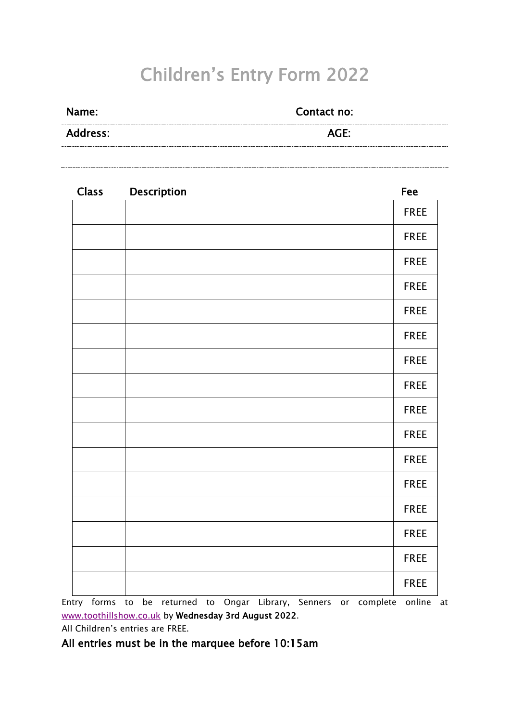# Children's Entry Form 2022

| <b>Name:</b>    | Contact no: |  |
|-----------------|-------------|--|
| <b>Address:</b> | AGE:        |  |

| <b>Class</b> | Description | Fee         |
|--------------|-------------|-------------|
|              |             | <b>FREE</b> |
|              |             | <b>FREE</b> |
|              |             | <b>FREE</b> |
|              |             | <b>FREE</b> |
|              |             | <b>FREE</b> |
|              |             | <b>FREE</b> |
|              |             | <b>FREE</b> |
|              |             | <b>FREE</b> |
|              |             | <b>FREE</b> |
|              |             | <b>FREE</b> |
|              |             | <b>FREE</b> |
|              |             | <b>FREE</b> |
|              |             | <b>FREE</b> |
|              |             | <b>FREE</b> |
|              |             | <b>FREE</b> |
|              |             | <b>FREE</b> |

Entry forms to be returned to Ongar Library, Senners or complete online at [www.toothillshow.co.uk](http://www.toothillshow.co.uk/) by Wednesday 3rd August 2022.

All Children's entries are FREE.

All entries must be in the marquee before 10:15am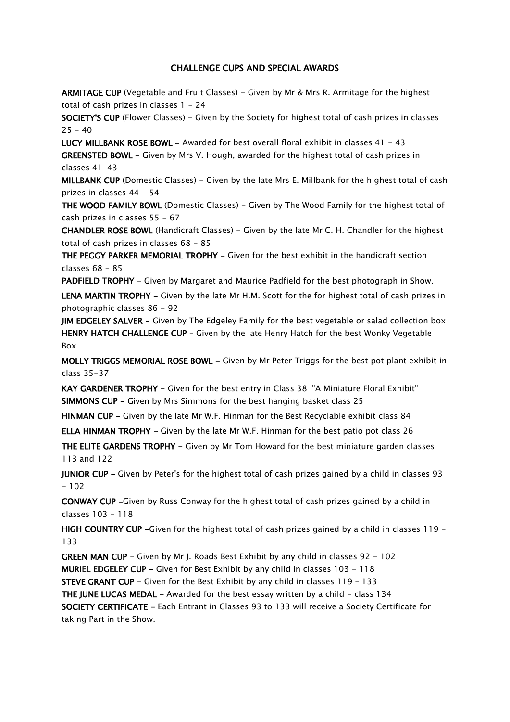#### CHALLENGE CUPS AND SPECIAL AWARDS

ARMITAGE CUP (Vegetable and Fruit Classes) - Given by Mr & Mrs R. Armitage for the highest total of cash prizes in classes  $1 - 24$ 

SOCIETY'S CUP (Flower Classes) - Given by the Society for highest total of cash prizes in classes  $25 - 40$ 

LUCY MILLBANK ROSE BOWL - Awarded for best overall floral exhibit in classes  $41 - 43$ GREENSTED BOWL - Given by Mrs V. Hough, awarded for the highest total of cash prizes in classes 41-43

MILLBANK CUP (Domestic Classes) - Given by the late Mrs E. Millbank for the highest total of cash prizes in classes 44 - 54

THE WOOD FAMILY BOWL (Domestic Classes) - Given by The Wood Family for the highest total of cash prizes in classes 55 - 67

CHANDLER ROSE BOWL (Handicraft Classes) - Given by the late Mr C. H. Chandler for the highest total of cash prizes in classes 68 - 85

THE PEGGY PARKER MEMORIAL TROPHY - Given for the best exhibit in the handicraft section classes 68 - 85

PADFIELD TROPHY - Given by Margaret and Maurice Padfield for the best photograph in Show.

LENA MARTIN TROPHY - Given by the late Mr H.M. Scott for the for highest total of cash prizes in photographic classes 86 - 92

JIM EDGELEY SALVER - Given by The Edgeley Family for the best vegetable or salad collection box HENRY HATCH CHALLENGE CUP - Given by the late Henry Hatch for the best Wonky Vegetable Box

MOLLY TRIGGS MEMORIAL ROSE BOWL - Given by Mr Peter Triggs for the best pot plant exhibit in class 35-37

KAY GARDENER TROPHY - Given for the best entry in Class 38 "A Miniature Floral Exhibit" SIMMONS CUP - Given by Mrs Simmons for the best hanging basket class 25

HINMAN CUP - Given by the late Mr W.F. Hinman for the Best Recyclable exhibit class 84

ELLA HINMAN TROPHY - Given by the late Mr W.F. Hinman for the best patio pot class 26

THE ELITE GARDENS TROPHY - Given by Mr Tom Howard for the best miniature garden classes 113 and 122

JUNIOR CUP - Given by Peter's for the highest total of cash prizes gained by a child in classes 93  $-102$ 

CONWAY CUP -Given by Russ Conway for the highest total of cash prizes gained by a child in classes 103 - 118

HIGH COUNTRY CUP -Given for the highest total of cash prizes gained by a child in classes 119 -133

GREEN MAN CUP - Given by Mr J. Roads Best Exhibit by any child in classes 92 - 102 MURIEL EDGELEY CUP - Given for Best Exhibit by any child in classes 103 - 118 STEVE GRANT CUP - Given for the Best Exhibit by any child in classes 119 – 133 THE JUNE LUCAS MEDAL - Awarded for the best essay written by a child - class  $134$ SOCIETY CERTIFICATE - Each Entrant in Classes 93 to 133 will receive a Society Certificate for taking Part in the Show.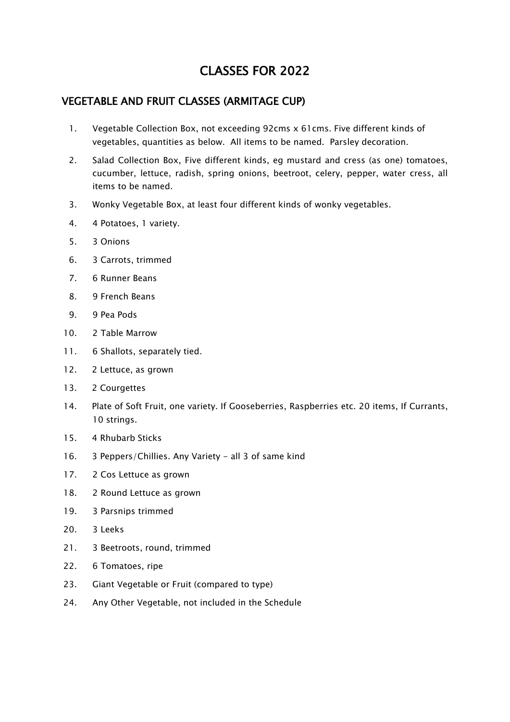# CLASSES FOR 2022

## VEGETABLE AND FRUIT CLASSES (ARMITAGE CUP)

- 1. Vegetable Collection Box, not exceeding 92cms x 61cms. Five different kinds of vegetables, quantities as below. All items to be named. Parsley decoration.
- 2. Salad Collection Box, Five different kinds, eg mustard and cress (as one) tomatoes, cucumber, lettuce, radish, spring onions, beetroot, celery, pepper, water cress, all items to be named.
- 3. Wonky Vegetable Box, at least four different kinds of wonky vegetables.
- 4. 4 Potatoes, 1 variety.
- 5. 3 Onions
- 6. 3 Carrots, trimmed
- 7. 6 Runner Beans
- 8. 9 French Beans
- 9. 9 Pea Pods
- 10. 2 Table Marrow
- 11. 6 Shallots, separately tied.
- 12. 2 Lettuce, as grown
- 13. 2 Courgettes
- 14. Plate of Soft Fruit, one variety. If Gooseberries, Raspberries etc. 20 items, If Currants, 10 strings.
- 15. 4 Rhubarb Sticks
- 16. 3 Peppers/Chillies. Any Variety all 3 of same kind
- 17. 2 Cos Lettuce as grown
- 18. 2 Round Lettuce as grown
- 19. 3 Parsnips trimmed
- 20. 3 Leeks
- 21. 3 Beetroots, round, trimmed
- 22. 6 Tomatoes, ripe
- 23. Giant Vegetable or Fruit (compared to type)
- 24. Any Other Vegetable, not included in the Schedule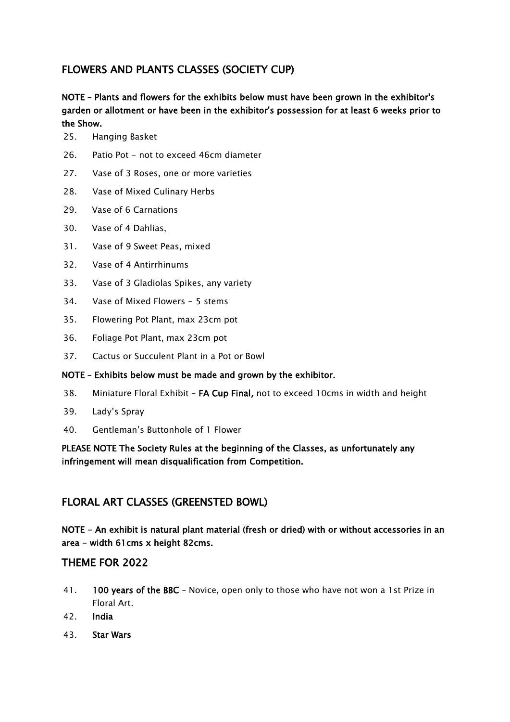# FLOWERS AND PLANTS CLASSES (SOCIETY CUP)

## NOTE – Plants and flowers for the exhibits below must have been grown in the exhibitor's garden or allotment or have been in the exhibitor's possession for at least 6 weeks prior to the Show.

- 25. Hanging Basket
- 26. Patio Pot not to exceed 46cm diameter
- 27. Vase of 3 Roses, one or more varieties
- 28. Vase of Mixed Culinary Herbs
- 29. Vase of 6 Carnations
- 30. Vase of 4 Dahlias,
- 31. Vase of 9 Sweet Peas, mixed
- 32. Vase of 4 Antirrhinums
- 33. Vase of 3 Gladiolas Spikes, any variety
- 34. Vase of Mixed Flowers 5 stems
- 35. Flowering Pot Plant, max 23cm pot
- 36. Foliage Pot Plant, max 23cm pot
- 37. Cactus or Succulent Plant in a Pot or Bowl

#### NOTE – Exhibits below must be made and grown by the exhibitor.

- 38. Miniature Floral Exhibit FA Cup Final, not to exceed 10cms in width and height
- 39. Lady's Spray
- 40. Gentleman's Buttonhole of 1 Flower

## PLEASE NOTE The Society Rules at the beginning of the Classes, as unfortunately any infringement will mean disqualification from Competition.

# FLORAL ART CLASSES (GREENSTED BOWL)

NOTE - An exhibit is natural plant material (fresh or dried) with or without accessories in an area - width 61cms x height 82cms.

## THEME FOR 2022

- 41. 100 years of the BBC Novice, open only to those who have not won a 1st Prize in Floral Art.
- 42. India
- 43. Star Wars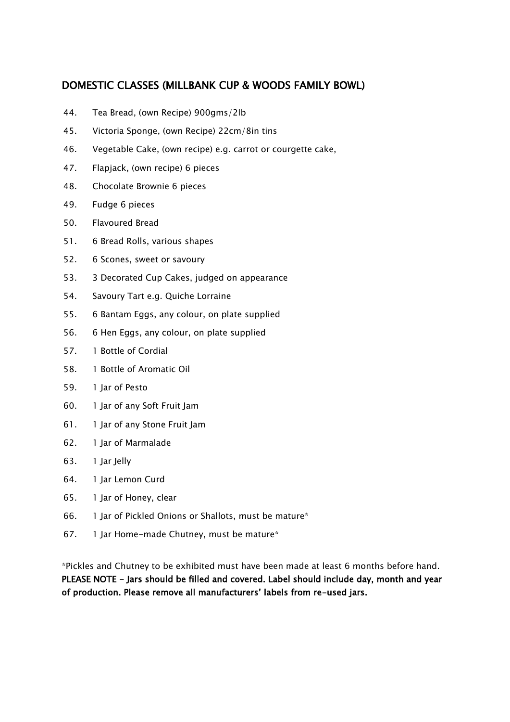# DOMESTIC CLASSES (MILLBANK CUP & WOODS FAMILY BOWL)

- 44. Tea Bread, (own Recipe) 900gms/2lb
- 45. Victoria Sponge, (own Recipe) 22cm/8in tins
- 46. Vegetable Cake, (own recipe) e.g. carrot or courgette cake,
- 47. Flapjack, (own recipe) 6 pieces
- 48. Chocolate Brownie 6 pieces
- 49. Fudge 6 pieces
- 50. Flavoured Bread
- 51. 6 Bread Rolls, various shapes
- 52. 6 Scones, sweet or savoury
- 53. 3 Decorated Cup Cakes, judged on appearance
- 54. Savoury Tart e.g. Quiche Lorraine
- 55. 6 Bantam Eggs, any colour, on plate supplied
- 56. 6 Hen Eggs, any colour, on plate supplied
- 57. 1 Bottle of Cordial
- 58. 1 Bottle of Aromatic Oil
- 59. 1 Jar of Pesto
- 60. 1 Jar of any Soft Fruit Jam
- 61. 1 Jar of any Stone Fruit Jam
- 62. 1 Jar of Marmalade
- 63. 1 Jar Jelly
- 64. 1 Jar Lemon Curd
- 65. 1 Jar of Honey, clear
- 66. 1 Jar of Pickled Onions or Shallots, must be mature\*
- 67. 1 Jar Home-made Chutney, must be mature\*

\*Pickles and Chutney to be exhibited must have been made at least 6 months before hand. PLEASE NOTE - Jars should be filled and covered. Label should include day, month and year of production. Please remove all manufacturers' labels from re-used jars.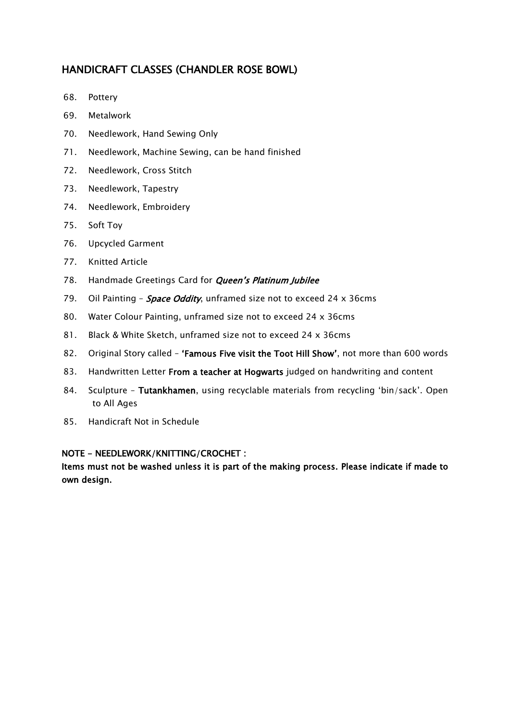# HANDICRAFT CLASSES (CHANDLER ROSE BOWL)

- 68. Pottery
- 69. Metalwork
- 70. Needlework, Hand Sewing Only
- 71. Needlework, Machine Sewing, can be hand finished
- 72. Needlework, Cross Stitch
- 73. Needlework, Tapestry
- 74. Needlework, Embroidery
- 75. Soft Toy
- 76. Upcycled Garment
- 77. Knitted Article
- 78. Handmade Greetings Card for *Queen's Platinum Jubilee*
- 79. Oil Painting **Space Oddity**, unframed size not to exceed 24 x 36cms
- 80. Water Colour Painting, unframed size not to exceed 24 x 36cms
- 81. Black & White Sketch, unframed size not to exceed 24 x 36cms
- 82. Original Story called 'Famous Five visit the Toot Hill Show', not more than 600 words
- 83. Handwritten Letter From a teacher at Hogwarts judged on handwriting and content
- 84. Sculpture Tutankhamen, using recyclable materials from recycling 'bin/sack'. Open to All Ages
- 85. Handicraft Not in Schedule

#### NOTE - NEEDLEWORK/KNITTING/CROCHET :

Items must not be washed unless it is part of the making process. Please indicate if made to own design.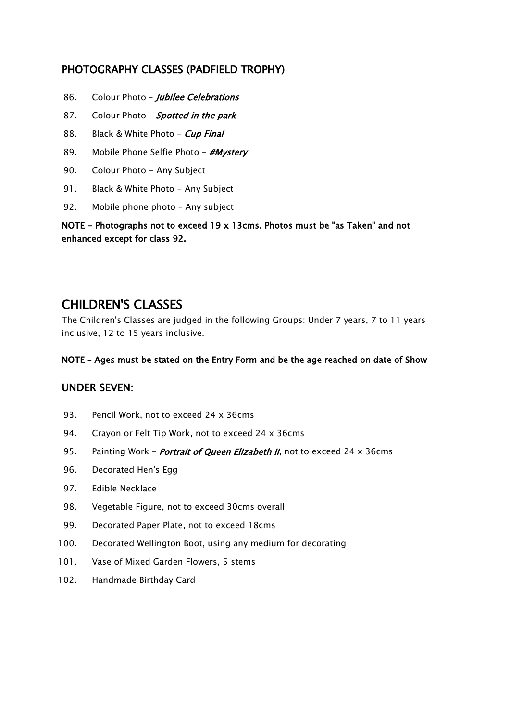# PHOTOGRAPHY CLASSES (PADFIELD TROPHY)

- 86. Colour Photo Jubilee Celebrations
- 87. Colour Photo Spotted in the park
- 88. Black & White Photo Cup Final
- 89. Mobile Phone Selfie Photo #Mystery
- 90. Colour Photo Any Subject
- 91. Black & White Photo Any Subject
- 92. Mobile phone photo Any subject

NOTE - Photographs not to exceed 19 x 13cms. Photos must be "as Taken" and not enhanced except for class 92.

# CHILDREN'S CLASSES

The Children's Classes are judged in the following Groups: Under 7 years, 7 to 11 years inclusive, 12 to 15 years inclusive.

#### NOTE – Ages must be stated on the Entry Form and be the age reached on date of Show

# UNDER SEVEN:

- 93. Pencil Work, not to exceed 24 x 36cms
- 94. Crayon or Felt Tip Work, not to exceed 24 x 36cms
- 95. Painting Work *Portrait of Queen Elizabeth II*, not to exceed 24 x 36cms
- 96. Decorated Hen's Egg
- 97. Edible Necklace
- 98. Vegetable Figure, not to exceed 30cms overall
- 99. Decorated Paper Plate, not to exceed 18cms
- 100. Decorated Wellington Boot, using any medium for decorating
- 101. Vase of Mixed Garden Flowers, 5 stems
- 102. Handmade Birthday Card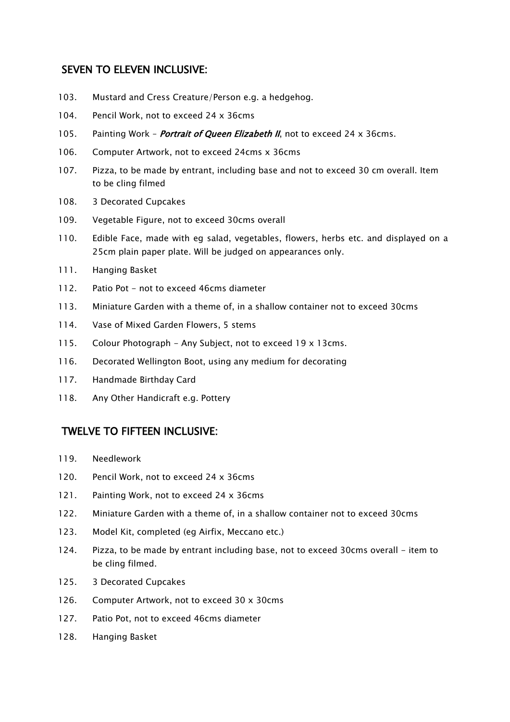## SEVEN TO ELEVEN INCLUSIVE:

- 103. Mustard and Cress Creature/Person e.g. a hedgehog.
- 104. Pencil Work, not to exceed 24 x 36cms
- 105. Painting Work *Portrait of Queen Elizabeth II*, not to exceed 24 x 36cms.
- 106. Computer Artwork, not to exceed 24cms x 36cms
- 107. Pizza, to be made by entrant, including base and not to exceed 30 cm overall. Item to be cling filmed
- 108. 3 Decorated Cupcakes
- 109. Vegetable Figure, not to exceed 30cms overall
- 110. Edible Face, made with eg salad, vegetables, flowers, herbs etc. and displayed on a 25cm plain paper plate. Will be judged on appearances only.
- 111. Hanging Basket
- 112. Patio Pot not to exceed 46cms diameter
- 113. Miniature Garden with a theme of, in a shallow container not to exceed 30cms
- 114. Vase of Mixed Garden Flowers, 5 stems
- 115. Colour Photograph Any Subject, not to exceed 19 x 13cms.
- 116. Decorated Wellington Boot, using any medium for decorating
- 117. Handmade Birthday Card
- 118. Any Other Handicraft e.g. Pottery

#### TWELVE TO FIFTEEN INCLUSIVE:

- 119. Needlework
- 120. Pencil Work, not to exceed 24 x 36cms
- 121. Painting Work, not to exceed 24 x 36cms
- 122. Miniature Garden with a theme of, in a shallow container not to exceed 30cms
- 123. Model Kit, completed (eg Airfix, Meccano etc.)
- 124. Pizza, to be made by entrant including base, not to exceed 30cms overall item to be cling filmed.
- 125. 3 Decorated Cupcakes
- 126. Computer Artwork, not to exceed 30 x 30cms
- 127. Patio Pot, not to exceed 46cms diameter
- 128. Hanging Basket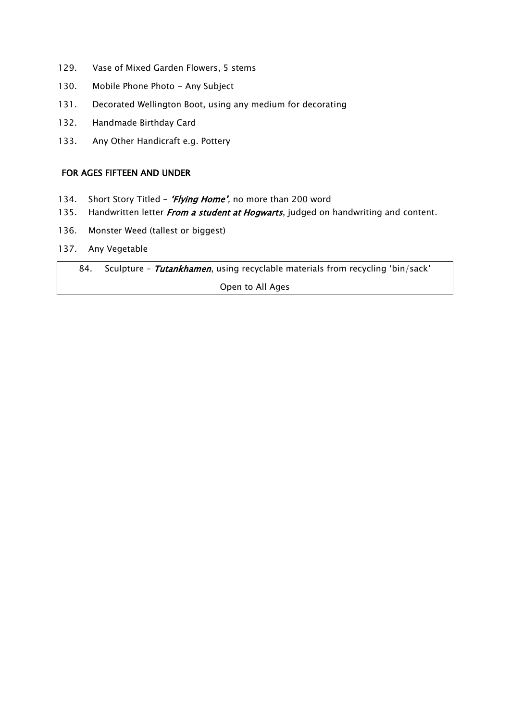- 129. Vase of Mixed Garden Flowers, 5 stems
- 130. Mobile Phone Photo Any Subject
- 131. Decorated Wellington Boot, using any medium for decorating
- 132. Handmade Birthday Card
- 133. Any Other Handicraft e.g. Pottery

#### FOR AGES FIFTEEN AND UNDER

- 134. Short Story Titled 'Flying Home', no more than 200 word
- 135. Handwritten letter From a student at Hogwarts, judged on handwriting and content.
- 136. Monster Weed (tallest or biggest)
- 137. Any Vegetable

84. Sculpture - Tutankhamen, using recyclable materials from recycling 'bin/sack'

Open to All Ages